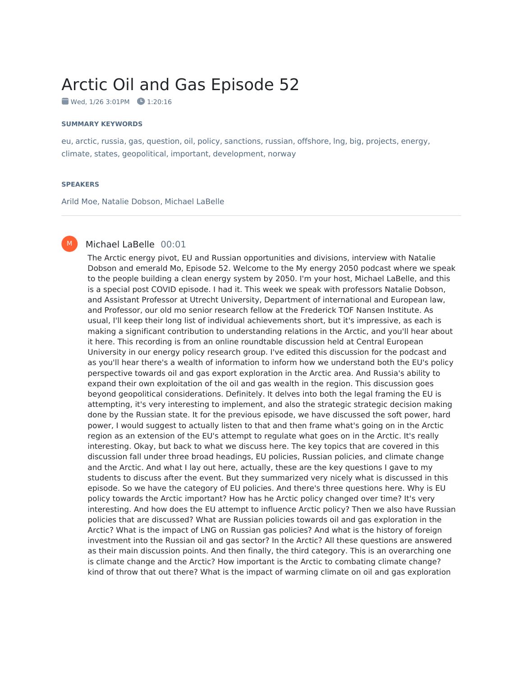# Arctic Oil and Gas Episode 52

 $\bullet$  Wed, 1/26 3:01PM  $\bullet$  1:20:16

#### **SUMMARY KEYWORDS**

eu, arctic, russia, gas, question, oil, policy, sanctions, russian, offshore, lng, big, projects, energy, climate, states, geopolitical, important, development, norway

#### **SPEAKERS**

M

Arild Moe, Natalie Dobson, Michael LaBelle

# Michael LaBelle 00:01

The Arctic energy pivot, EU and Russian opportunities and divisions, interview with Natalie Dobson and emerald Mo, Episode 52. Welcome to the My energy 2050 podcast where we speak to the people building a clean energy system by 2050. I'm your host, Michael LaBelle, and this is a special post COVID episode. I had it. This week we speak with professors Natalie Dobson, and Assistant Professor at Utrecht University, Department of international and European law, and Professor, our old mo senior research fellow at the Frederick TOF Nansen Institute. As usual, I'll keep their long list of individual achievements short, but it's impressive, as each is making a significant contribution to understanding relations in the Arctic, and you'll hear about it here. This recording is from an online roundtable discussion held at Central European University in our energy policy research group. I've edited this discussion for the podcast and as you'll hear there's a wealth of information to inform how we understand both the EU's policy perspective towards oil and gas export exploration in the Arctic area. And Russia's ability to expand their own exploitation of the oil and gas wealth in the region. This discussion goes beyond geopolitical considerations. Definitely. It delves into both the legal framing the EU is attempting, it's very interesting to implement, and also the strategic strategic decision making done by the Russian state. It for the previous episode, we have discussed the soft power, hard power, I would suggest to actually listen to that and then frame what's going on in the Arctic region as an extension of the EU's attempt to regulate what goes on in the Arctic. It's really interesting. Okay, but back to what we discuss here. The key topics that are covered in this discussion fall under three broad headings, EU policies, Russian policies, and climate change and the Arctic. And what I lay out here, actually, these are the key questions I gave to my students to discuss after the event. But they summarized very nicely what is discussed in this episode. So we have the category of EU policies. And there's three questions here. Why is EU policy towards the Arctic important? How has he Arctic policy changed over time? It's very interesting. And how does the EU attempt to influence Arctic policy? Then we also have Russian policies that are discussed? What are Russian policies towards oil and gas exploration in the Arctic? What is the impact of LNG on Russian gas policies? And what is the history of foreign investment into the Russian oil and gas sector? In the Arctic? All these questions are answered as their main discussion points. And then finally, the third category. This is an overarching one is climate change and the Arctic? How important is the Arctic to combating climate change? kind of throw that out there? What is the impact of warming climate on oil and gas exploration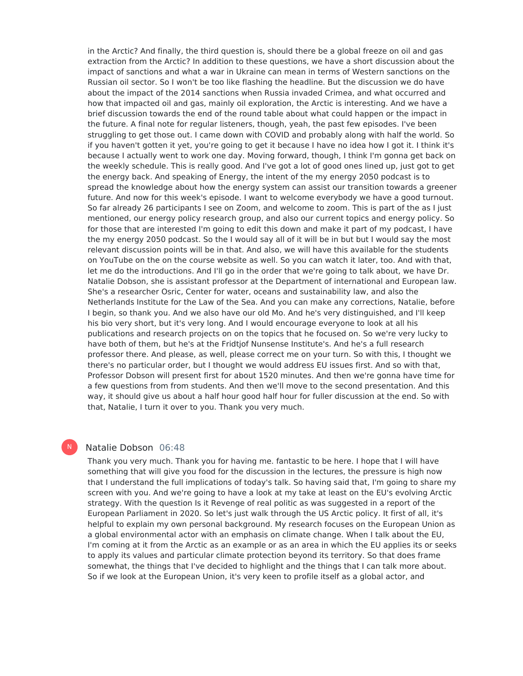in the Arctic? And finally, the third question is, should there be a global freeze on oil and gas extraction from the Arctic? In addition to these questions, we have a short discussion about the impact of sanctions and what a war in Ukraine can mean in terms of Western sanctions on the Russian oil sector. So I won't be too like flashing the headline. But the discussion we do have about the impact of the 2014 sanctions when Russia invaded Crimea, and what occurred and how that impacted oil and gas, mainly oil exploration, the Arctic is interesting. And we have a brief discussion towards the end of the round table about what could happen or the impact in the future. A final note for regular listeners, though, yeah, the past few episodes. I've been struggling to get those out. I came down with COVID and probably along with half the world. So if you haven't gotten it yet, you're going to get it because I have no idea how I got it. I think it's because I actually went to work one day. Moving forward, though, I think I'm gonna get back on the weekly schedule. This is really good. And I've got a lot of good ones lined up, just got to get the energy back. And speaking of Energy, the intent of the my energy 2050 podcast is to spread the knowledge about how the energy system can assist our transition towards a greener future. And now for this week's episode. I want to welcome everybody we have a good turnout. So far already 26 participants I see on Zoom, and welcome to zoom. This is part of the as I just mentioned, our energy policy research group, and also our current topics and energy policy. So for those that are interested I'm going to edit this down and make it part of my podcast, I have the my energy 2050 podcast. So the I would say all of it will be in but but I would say the most relevant discussion points will be in that. And also, we will have this available for the students on YouTube on the on the course website as well. So you can watch it later, too. And with that, let me do the introductions. And I'll go in the order that we're going to talk about, we have Dr. Natalie Dobson, she is assistant professor at the Department of international and European law. She's a researcher Osric, Center for water, oceans and sustainability law, and also the Netherlands Institute for the Law of the Sea. And you can make any corrections, Natalie, before I begin, so thank you. And we also have our old Mo. And he's very distinguished, and I'll keep his bio very short, but it's very long. And I would encourage everyone to look at all his publications and research projects on on the topics that he focused on. So we're very lucky to have both of them, but he's at the Fridtjof Nunsense Institute's. And he's a full research professor there. And please, as well, please correct me on your turn. So with this, I thought we there's no particular order, but I thought we would address EU issues first. And so with that, Professor Dobson will present first for about 1520 minutes. And then we're gonna have time for a few questions from from students. And then we'll move to the second presentation. And this way, it should give us about a half hour good half hour for fuller discussion at the end. So with that, Natalie, I turn it over to you. Thank you very much.

# Natalie Dobson 06:48

N

Thank you very much. Thank you for having me. fantastic to be here. I hope that I will have something that will give you food for the discussion in the lectures, the pressure is high now that I understand the full implications of today's talk. So having said that, I'm going to share my screen with you. And we're going to have a look at my take at least on the EU's evolving Arctic strategy. With the question Is it Revenge of real politic as was suggested in a report of the European Parliament in 2020. So let's just walk through the US Arctic policy. It first of all, it's helpful to explain my own personal background. My research focuses on the European Union as a global environmental actor with an emphasis on climate change. When I talk about the EU, I'm coming at it from the Arctic as an example or as an area in which the EU applies its or seeks to apply its values and particular climate protection beyond its territory. So that does frame somewhat, the things that I've decided to highlight and the things that I can talk more about. So if we look at the European Union, it's very keen to profile itself as a global actor, and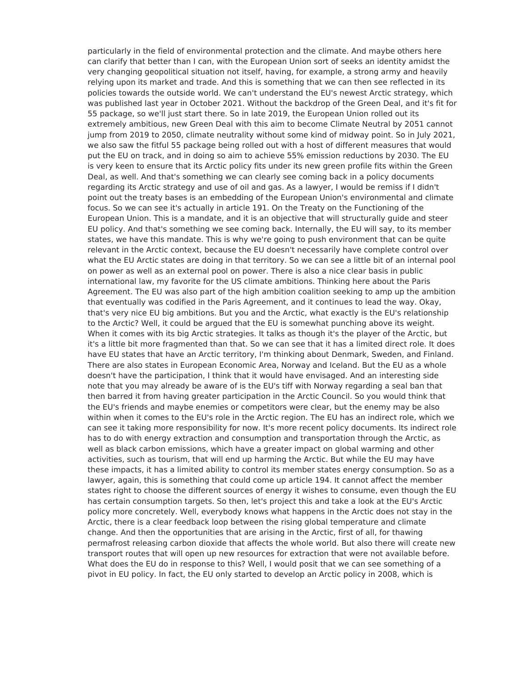particularly in the field of environmental protection and the climate. And maybe others here can clarify that better than I can, with the European Union sort of seeks an identity amidst the very changing geopolitical situation not itself, having, for example, a strong army and heavily relying upon its market and trade. And this is something that we can then see reflected in its policies towards the outside world. We can't understand the EU's newest Arctic strategy, which was published last year in October 2021. Without the backdrop of the Green Deal, and it's fit for 55 package, so we'll just start there. So in late 2019, the European Union rolled out its extremely ambitious, new Green Deal with this aim to become Climate Neutral by 2051 cannot jump from 2019 to 2050, climate neutrality without some kind of midway point. So in July 2021, we also saw the fitful 55 package being rolled out with a host of different measures that would put the EU on track, and in doing so aim to achieve 55% emission reductions by 2030. The EU is very keen to ensure that its Arctic policy fits under its new green profile fits within the Green Deal, as well. And that's something we can clearly see coming back in a policy documents regarding its Arctic strategy and use of oil and gas. As a lawyer, I would be remiss if I didn't point out the treaty bases is an embedding of the European Union's environmental and climate focus. So we can see it's actually in article 191. On the Treaty on the Functioning of the European Union. This is a mandate, and it is an objective that will structurally guide and steer EU policy. And that's something we see coming back. Internally, the EU will say, to its member states, we have this mandate. This is why we're going to push environment that can be quite relevant in the Arctic context, because the EU doesn't necessarily have complete control over what the EU Arctic states are doing in that territory. So we can see a little bit of an internal pool on power as well as an external pool on power. There is also a nice clear basis in public international law, my favorite for the US climate ambitions. Thinking here about the Paris Agreement. The EU was also part of the high ambition coalition seeking to amp up the ambition that eventually was codified in the Paris Agreement, and it continues to lead the way. Okay, that's very nice EU big ambitions. But you and the Arctic, what exactly is the EU's relationship to the Arctic? Well, it could be argued that the EU is somewhat punching above its weight. When it comes with its big Arctic strategies. It talks as though it's the player of the Arctic, but it's a little bit more fragmented than that. So we can see that it has a limited direct role. It does have EU states that have an Arctic territory, I'm thinking about Denmark, Sweden, and Finland. There are also states in European Economic Area, Norway and Iceland. But the EU as a whole doesn't have the participation, I think that it would have envisaged. And an interesting side note that you may already be aware of is the EU's tiff with Norway regarding a seal ban that then barred it from having greater participation in the Arctic Council. So you would think that the EU's friends and maybe enemies or competitors were clear, but the enemy may be also within when it comes to the EU's role in the Arctic region. The EU has an indirect role, which we can see it taking more responsibility for now. It's more recent policy documents. Its indirect role has to do with energy extraction and consumption and transportation through the Arctic, as well as black carbon emissions, which have a greater impact on global warming and other activities, such as tourism, that will end up harming the Arctic. But while the EU may have these impacts, it has a limited ability to control its member states energy consumption. So as a lawyer, again, this is something that could come up article 194. It cannot affect the member states right to choose the different sources of energy it wishes to consume, even though the EU has certain consumption targets. So then, let's project this and take a look at the EU's Arctic policy more concretely. Well, everybody knows what happens in the Arctic does not stay in the Arctic, there is a clear feedback loop between the rising global temperature and climate change. And then the opportunities that are arising in the Arctic, first of all, for thawing permafrost releasing carbon dioxide that affects the whole world. But also there will create new transport routes that will open up new resources for extraction that were not available before. What does the EU do in response to this? Well, I would posit that we can see something of a pivot in EU policy. In fact, the EU only started to develop an Arctic policy in 2008, which is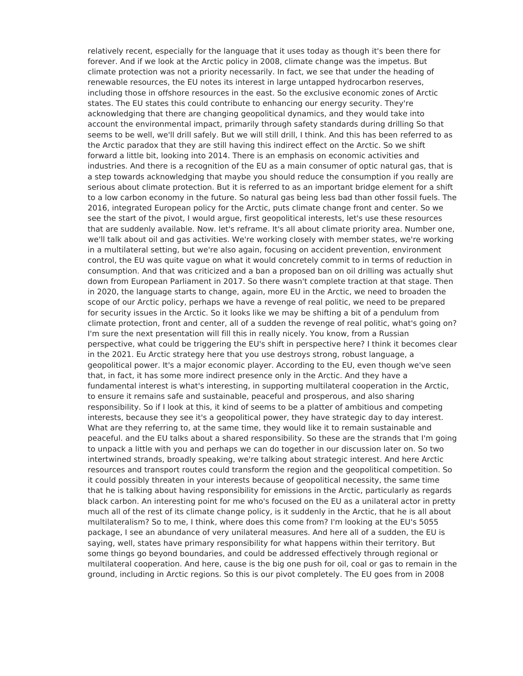relatively recent, especially for the language that it uses today as though it's been there for forever. And if we look at the Arctic policy in 2008, climate change was the impetus. But climate protection was not a priority necessarily. In fact, we see that under the heading of renewable resources, the EU notes its interest in large untapped hydrocarbon reserves, including those in offshore resources in the east. So the exclusive economic zones of Arctic states. The EU states this could contribute to enhancing our energy security. They're acknowledging that there are changing geopolitical dynamics, and they would take into account the environmental impact, primarily through safety standards during drilling So that seems to be well, we'll drill safely. But we will still drill, I think. And this has been referred to as the Arctic paradox that they are still having this indirect effect on the Arctic. So we shift forward a little bit, looking into 2014. There is an emphasis on economic activities and industries. And there is a recognition of the EU as a main consumer of optic natural gas, that is a step towards acknowledging that maybe you should reduce the consumption if you really are serious about climate protection. But it is referred to as an important bridge element for a shift to a low carbon economy in the future. So natural gas being less bad than other fossil fuels. The 2016, integrated European policy for the Arctic, puts climate change front and center. So we see the start of the pivot, I would argue, first geopolitical interests, let's use these resources that are suddenly available. Now. let's reframe. It's all about climate priority area. Number one, we'll talk about oil and gas activities. We're working closely with member states, we're working in a multilateral setting, but we're also again, focusing on accident prevention, environment control, the EU was quite vague on what it would concretely commit to in terms of reduction in consumption. And that was criticized and a ban a proposed ban on oil drilling was actually shut down from European Parliament in 2017. So there wasn't complete traction at that stage. Then in 2020, the language starts to change, again, more EU in the Arctic, we need to broaden the scope of our Arctic policy, perhaps we have a revenge of real politic, we need to be prepared for security issues in the Arctic. So it looks like we may be shifting a bit of a pendulum from climate protection, front and center, all of a sudden the revenge of real politic, what's going on? I'm sure the next presentation will fill this in really nicely. You know, from a Russian perspective, what could be triggering the EU's shift in perspective here? I think it becomes clear in the 2021. Eu Arctic strategy here that you use destroys strong, robust language, a geopolitical power. It's a major economic player. According to the EU, even though we've seen that, in fact, it has some more indirect presence only in the Arctic. And they have a fundamental interest is what's interesting, in supporting multilateral cooperation in the Arctic, to ensure it remains safe and sustainable, peaceful and prosperous, and also sharing responsibility. So if I look at this, it kind of seems to be a platter of ambitious and competing interests, because they see it's a geopolitical power, they have strategic day to day interest. What are they referring to, at the same time, they would like it to remain sustainable and peaceful. and the EU talks about a shared responsibility. So these are the strands that I'm going to unpack a little with you and perhaps we can do together in our discussion later on. So two intertwined strands, broadly speaking, we're talking about strategic interest. And here Arctic resources and transport routes could transform the region and the geopolitical competition. So it could possibly threaten in your interests because of geopolitical necessity, the same time that he is talking about having responsibility for emissions in the Arctic, particularly as regards black carbon. An interesting point for me who's focused on the EU as a unilateral actor in pretty much all of the rest of its climate change policy, is it suddenly in the Arctic, that he is all about multilateralism? So to me, I think, where does this come from? I'm looking at the EU's 5055 package, I see an abundance of very unilateral measures. And here all of a sudden, the EU is saying, well, states have primary responsibility for what happens within their territory. But some things go beyond boundaries, and could be addressed effectively through regional or multilateral cooperation. And here, cause is the big one push for oil, coal or gas to remain in the ground, including in Arctic regions. So this is our pivot completely. The EU goes from in 2008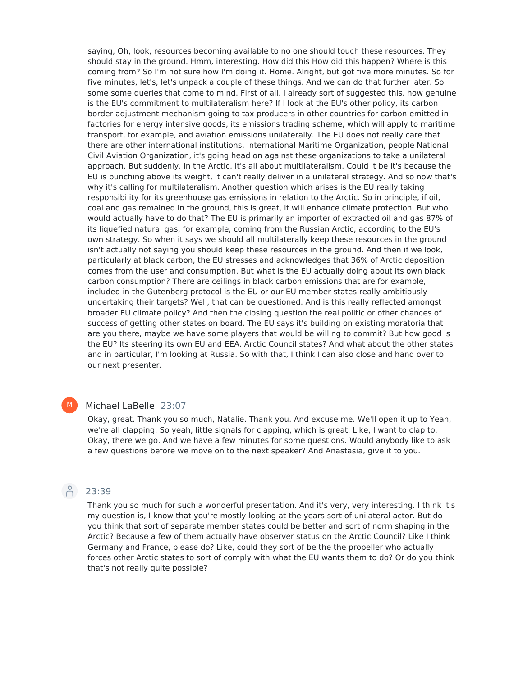saying, Oh, look, resources becoming available to no one should touch these resources. They should stay in the ground. Hmm, interesting. How did this How did this happen? Where is this coming from? So I'm not sure how I'm doing it. Home. Alright, but got five more minutes. So for five minutes, let's, let's unpack a couple of these things. And we can do that further later. So some some queries that come to mind. First of all, I already sort of suggested this, how genuine is the EU's commitment to multilateralism here? If I look at the EU's other policy, its carbon border adjustment mechanism going to tax producers in other countries for carbon emitted in factories for energy intensive goods, its emissions trading scheme, which will apply to maritime transport, for example, and aviation emissions unilaterally. The EU does not really care that there are other international institutions, International Maritime Organization, people National Civil Aviation Organization, it's going head on against these organizations to take a unilateral approach. But suddenly, in the Arctic, it's all about multilateralism. Could it be it's because the EU is punching above its weight, it can't really deliver in a unilateral strategy. And so now that's why it's calling for multilateralism. Another question which arises is the EU really taking responsibility for its greenhouse gas emissions in relation to the Arctic. So in principle, if oil, coal and gas remained in the ground, this is great, it will enhance climate protection. But who would actually have to do that? The EU is primarily an importer of extracted oil and gas 87% of its liquefied natural gas, for example, coming from the Russian Arctic, according to the EU's own strategy. So when it says we should all multilaterally keep these resources in the ground isn't actually not saying you should keep these resources in the ground. And then if we look, particularly at black carbon, the EU stresses and acknowledges that 36% of Arctic deposition comes from the user and consumption. But what is the EU actually doing about its own black carbon consumption? There are ceilings in black carbon emissions that are for example, included in the Gutenberg protocol is the EU or our EU member states really ambitiously undertaking their targets? Well, that can be questioned. And is this really reflected amongst broader EU climate policy? And then the closing question the real politic or other chances of success of getting other states on board. The EU says it's building on existing moratoria that are you there, maybe we have some players that would be willing to commit? But how good is the EU? Its steering its own EU and EEA. Arctic Council states? And what about the other states and in particular, I'm looking at Russia. So with that, I think I can also close and hand over to our next presenter.

# M

# Michael LaBelle 23:07

Okay, great. Thank you so much, Natalie. Thank you. And excuse me. We'll open it up to Yeah, we're all clapping. So yeah, little signals for clapping, which is great. Like, I want to clap to. Okay, there we go. And we have a few minutes for some questions. Would anybody like to ask a few questions before we move on to the next speaker? And Anastasia, give it to you.

#### $\beta$ 23:39

Thank you so much for such a wonderful presentation. And it's very, very interesting. I think it's my question is, I know that you're mostly looking at the years sort of unilateral actor. But do you think that sort of separate member states could be better and sort of norm shaping in the Arctic? Because a few of them actually have observer status on the Arctic Council? Like I think Germany and France, please do? Like, could they sort of be the the propeller who actually forces other Arctic states to sort of comply with what the EU wants them to do? Or do you think that's not really quite possible?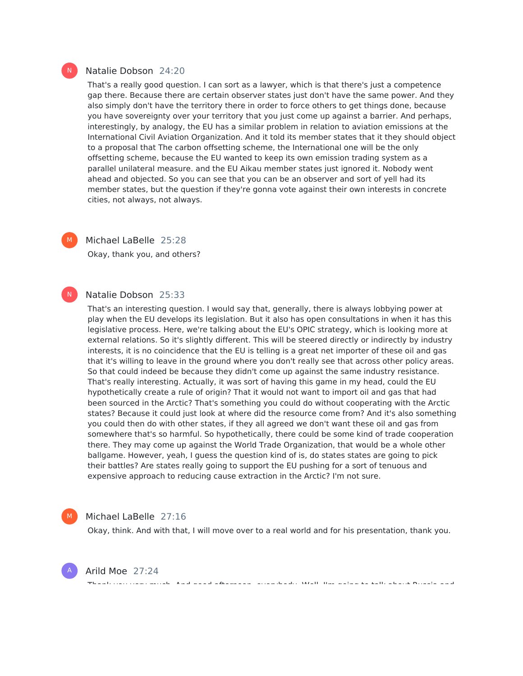# Natalie Dobson 24:20

That's a really good question. I can sort as a lawyer, which is that there's just a competence gap there. Because there are certain observer states just don't have the same power. And they also simply don't have the territory there in order to force others to get things done, because you have sovereignty over your territory that you just come up against a barrier. And perhaps, interestingly, by analogy, the EU has a similar problem in relation to aviation emissions at the International Civil Aviation Organization. And it told its member states that it they should object to a proposal that The carbon offsetting scheme, the International one will be the only offsetting scheme, because the EU wanted to keep its own emission trading system as a parallel unilateral measure. and the EU Aikau member states just ignored it. Nobody went ahead and objected. So you can see that you can be an observer and sort of yell had its member states, but the question if they're gonna vote against their own interests in concrete cities, not always, not always.



 $\mathsf{N}^-$ 

 $\mathsf{N}^-$ 

# Michael LaBelle 25:28

Okay, thank you, and others?

# Natalie Dobson 25:33

That's an interesting question. I would say that, generally, there is always lobbying power at play when the EU develops its legislation. But it also has open consultations in when it has this legislative process. Here, we're talking about the EU's OPIC strategy, which is looking more at external relations. So it's slightly different. This will be steered directly or indirectly by industry interests, it is no coincidence that the EU is telling is a great net importer of these oil and gas that it's willing to leave in the ground where you don't really see that across other policy areas. So that could indeed be because they didn't come up against the same industry resistance. That's really interesting. Actually, it was sort of having this game in my head, could the EU hypothetically create a rule of origin? That it would not want to import oil and gas that had been sourced in the Arctic? That's something you could do without cooperating with the Arctic states? Because it could just look at where did the resource come from? And it's also something you could then do with other states, if they all agreed we don't want these oil and gas from somewhere that's so harmful. So hypothetically, there could be some kind of trade cooperation there. They may come up against the World Trade Organization, that would be a whole other ballgame. However, yeah, I guess the question kind of is, do states states are going to pick their battles? Are states really going to support the EU pushing for a sort of tenuous and expensive approach to reducing cause extraction in the Arctic? I'm not sure.



A

# Michael LaBelle 27:16

Okay, think. And with that, I will move over to a real world and for his presentation, thank you.

Thank you very much. And good afternoon, everybody. Well, I'm going to talk about Russia and

Arild Moe 27:24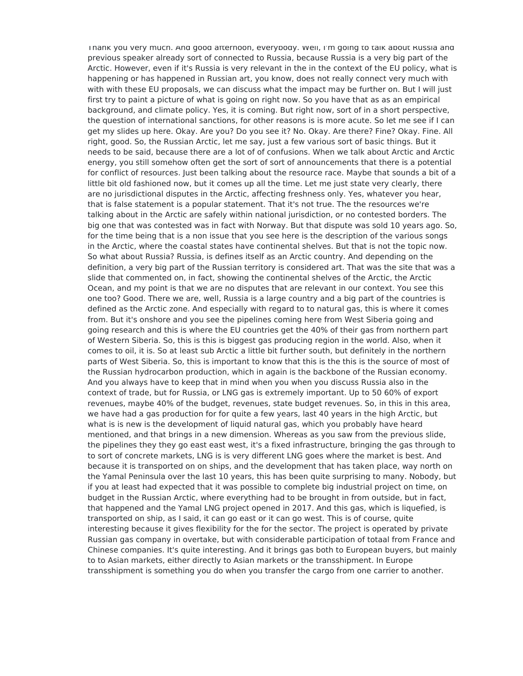Thank you very much. And good afternoon, everybody. Well, I'm going to talk about Russia and previous speaker already sort of connected to Russia, because Russia is a very big part of the Arctic. However, even if it's Russia is very relevant in the in the context of the EU policy, what is happening or has happened in Russian art, you know, does not really connect very much with with with these EU proposals, we can discuss what the impact may be further on. But I will just first try to paint a picture of what is going on right now. So you have that as as an empirical background, and climate policy. Yes, it is coming. But right now, sort of in a short perspective, the question of international sanctions, for other reasons is is more acute. So let me see if I can get my slides up here. Okay. Are you? Do you see it? No. Okay. Are there? Fine? Okay. Fine. All right, good. So, the Russian Arctic, let me say, just a few various sort of basic things. But it needs to be said, because there are a lot of of confusions. When we talk about Arctic and Arctic energy, you still somehow often get the sort of sort of announcements that there is a potential for conflict of resources. Just been talking about the resource race. Maybe that sounds a bit of a little bit old fashioned now, but it comes up all the time. Let me just state very clearly, there are no jurisdictional disputes in the Arctic, affecting freshness only. Yes, whatever you hear, that is false statement is a popular statement. That it's not true. The the resources we're talking about in the Arctic are safely within national jurisdiction, or no contested borders. The big one that was contested was in fact with Norway. But that dispute was sold 10 years ago. So, for the time being that is a non issue that you see here is the description of the various songs in the Arctic, where the coastal states have continental shelves. But that is not the topic now. So what about Russia? Russia, is defines itself as an Arctic country. And depending on the definition, a very big part of the Russian territory is considered art. That was the site that was a slide that commented on, in fact, showing the continental shelves of the Arctic, the Arctic Ocean, and my point is that we are no disputes that are relevant in our context. You see this one too? Good. There we are, well, Russia is a large country and a big part of the countries is defined as the Arctic zone. And especially with regard to to natural gas, this is where it comes from. But it's onshore and you see the pipelines coming here from West Siberia going and going research and this is where the EU countries get the 40% of their gas from northern part of Western Siberia. So, this is this is biggest gas producing region in the world. Also, when it comes to oil, it is. So at least sub Arctic a little bit further south, but definitely in the northern parts of West Siberia. So, this is important to know that this is the this is the source of most of the Russian hydrocarbon production, which in again is the backbone of the Russian economy. And you always have to keep that in mind when you when you discuss Russia also in the context of trade, but for Russia, or LNG gas is extremely important. Up to 50 60% of export revenues, maybe 40% of the budget, revenues, state budget revenues. So, in this in this area, we have had a gas production for for quite a few years, last 40 years in the high Arctic, but what is is new is the development of liquid natural gas, which you probably have heard mentioned, and that brings in a new dimension. Whereas as you saw from the previous slide, the pipelines they they go east east west, it's a fixed infrastructure, bringing the gas through to to sort of concrete markets, LNG is is very different LNG goes where the market is best. And because it is transported on on ships, and the development that has taken place, way north on the Yamal Peninsula over the last 10 years, this has been quite surprising to many. Nobody, but if you at least had expected that it was possible to complete big industrial project on time, on budget in the Russian Arctic, where everything had to be brought in from outside, but in fact, that happened and the Yamal LNG project opened in 2017. And this gas, which is liquefied, is transported on ship, as I said, it can go east or it can go west. This is of course, quite interesting because it gives flexibility for the for the sector. The project is operated by private Russian gas company in overtake, but with considerable participation of totaal from France and Chinese companies. It's quite interesting. And it brings gas both to European buyers, but mainly to to Asian markets, either directly to Asian markets or the transshipment. In Europe transshipment is something you do when you transfer the cargo from one carrier to another.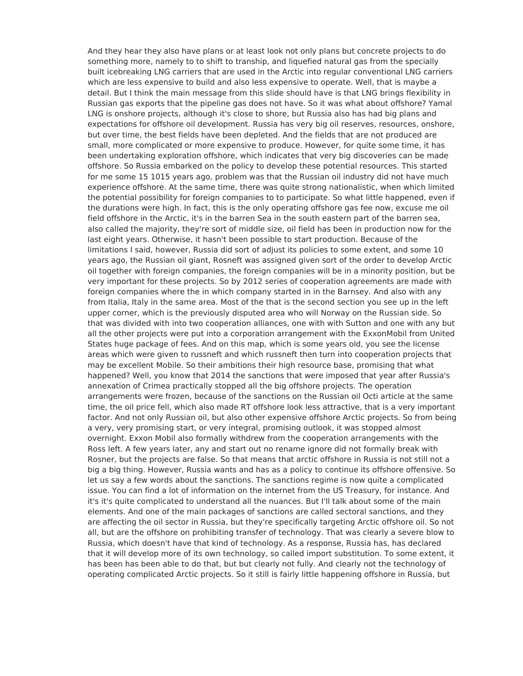And they hear they also have plans or at least look not only plans but concrete projects to do something more, namely to to shift to tranship, and liquefied natural gas from the specially built icebreaking LNG carriers that are used in the Arctic into regular conventional LNG carriers which are less expensive to build and also less expensive to operate. Well, that is maybe a detail. But I think the main message from this slide should have is that LNG brings flexibility in Russian gas exports that the pipeline gas does not have. So it was what about offshore? Yamal LNG is onshore projects, although it's close to shore, but Russia also has had big plans and expectations for offshore oil development. Russia has very big oil reserves, resources, onshore, but over time, the best fields have been depleted. And the fields that are not produced are small, more complicated or more expensive to produce. However, for quite some time, it has been undertaking exploration offshore, which indicates that very big discoveries can be made offshore. So Russia embarked on the policy to develop these potential resources. This started for me some 15 1015 years ago, problem was that the Russian oil industry did not have much experience offshore. At the same time, there was quite strong nationalistic, when which limited the potential possibility for foreign companies to to participate. So what little happened, even if the durations were high. In fact, this is the only operating offshore gas fee now, excuse me oil field offshore in the Arctic, it's in the barren Sea in the south eastern part of the barren sea, also called the majority, they're sort of middle size, oil field has been in production now for the last eight years. Otherwise, it hasn't been possible to start production. Because of the limitations I said, however, Russia did sort of adjust its policies to some extent, and some 10 years ago, the Russian oil giant, Rosneft was assigned given sort of the order to develop Arctic oil together with foreign companies, the foreign companies will be in a minority position, but be very important for these projects. So by 2012 series of cooperation agreements are made with foreign companies where the in which company started in in the Barnsey. And also with any from Italia, Italy in the same area. Most of the that is the second section you see up in the left upper corner, which is the previously disputed area who will Norway on the Russian side. So that was divided with into two cooperation alliances, one with with Sutton and one with any but all the other projects were put into a corporation arrangement with the ExxonMobil from United States huge package of fees. And on this map, which is some years old, you see the license areas which were given to russneft and which russneft then turn into cooperation projects that may be excellent Mobile. So their ambitions their high resource base, promising that what happened? Well, you know that 2014 the sanctions that were imposed that year after Russia's annexation of Crimea practically stopped all the big offshore projects. The operation arrangements were frozen, because of the sanctions on the Russian oil Octi article at the same time, the oil price fell, which also made RT offshore look less attractive, that is a very important factor. And not only Russian oil, but also other expensive offshore Arctic projects. So from being a very, very promising start, or very integral, promising outlook, it was stopped almost overnight. Exxon Mobil also formally withdrew from the cooperation arrangements with the Ross left. A few years later, any and start out no rename ignore did not formally break with Rosner, but the projects are false. So that means that arctic offshore in Russia is not still not a big a big thing. However, Russia wants and has as a policy to continue its offshore offensive. So let us say a few words about the sanctions. The sanctions regime is now quite a complicated issue. You can find a lot of information on the internet from the US Treasury, for instance. And it's it's quite complicated to understand all the nuances. But I'll talk about some of the main elements. And one of the main packages of sanctions are called sectoral sanctions, and they are affecting the oil sector in Russia, but they're specifically targeting Arctic offshore oil. So not all, but are the offshore on prohibiting transfer of technology. That was clearly a severe blow to Russia, which doesn't have that kind of technology. As a response, Russia has, has declared that it will develop more of its own technology, so called import substitution. To some extent, it has been has been able to do that, but but clearly not fully. And clearly not the technology of operating complicated Arctic projects. So it still is fairly little happening offshore in Russia, but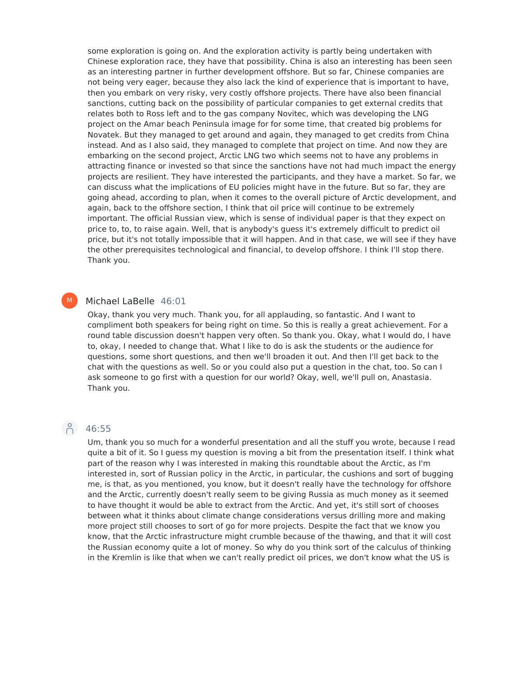some exploration is going on. And the exploration activity is partly being undertaken with Chinese exploration race, they have that possibility. China is also an interesting has been seen as an interesting partner in further development offshore. But so far, Chinese companies are not being very eager, because they also lack the kind of experience that is important to have, then you embark on very risky, very costly offshore projects. There have also been financial sanctions, cutting back on the possibility of particular companies to get external credits that relates both to Ross left and to the gas company Novitec, which was developing the LNG project on the Amar beach Peninsula image for for some time, that created big problems for Novatek. But they managed to get around and again, they managed to get credits from China instead. And as I also said, they managed to complete that project on time. And now they are embarking on the second project, Arctic LNG two which seems not to have any problems in attracting finance or invested so that since the sanctions have not had much impact the energy projects are resilient. They have interested the participants, and they have a market. So far, we can discuss what the implications of EU policies might have in the future. But so far, they are going ahead, according to plan, when it comes to the overall picture of Arctic development, and again, back to the offshore section, I think that oil price will continue to be extremely important. The official Russian view, which is sense of individual paper is that they expect on price to, to, to raise again. Well, that is anybody's guess it's extremely difficult to predict oil price, but it's not totally impossible that it will happen. And in that case, we will see if they have the other prerequisites technological and financial, to develop offshore. I think I'll stop there. Thank you.

#### Michael LaBelle 46:01 M

Okay, thank you very much. Thank you, for all applauding, so fantastic. And I want to compliment both speakers for being right on time. So this is really a great achievement. For a round table discussion doesn't happen very often. So thank you. Okay, what I would do, I have to, okay, I needed to change that. What I like to do is ask the students or the audience for questions, some short questions, and then we'll broaden it out. And then I'll get back to the chat with the questions as well. So or you could also put a question in the chat, too. So can I ask someone to go first with a question for our world? Okay, well, we'll pull on, Anastasia. Thank you.

# Pc 46:55

Um, thank you so much for a wonderful presentation and all the stuff you wrote, because I read quite a bit of it. So I guess my question is moving a bit from the presentation itself. I think what part of the reason why I was interested in making this roundtable about the Arctic, as I'm interested in, sort of Russian policy in the Arctic, in particular, the cushions and sort of bugging me, is that, as you mentioned, you know, but it doesn't really have the technology for offshore and the Arctic, currently doesn't really seem to be giving Russia as much money as it seemed to have thought it would be able to extract from the Arctic. And yet, it's still sort of chooses between what it thinks about climate change considerations versus drilling more and making more project still chooses to sort of go for more projects. Despite the fact that we know you know, that the Arctic infrastructure might crumble because of the thawing, and that it will cost the Russian economy quite a lot of money. So why do you think sort of the calculus of thinking in the Kremlin is like that when we can't really predict oil prices, we don't know what the US is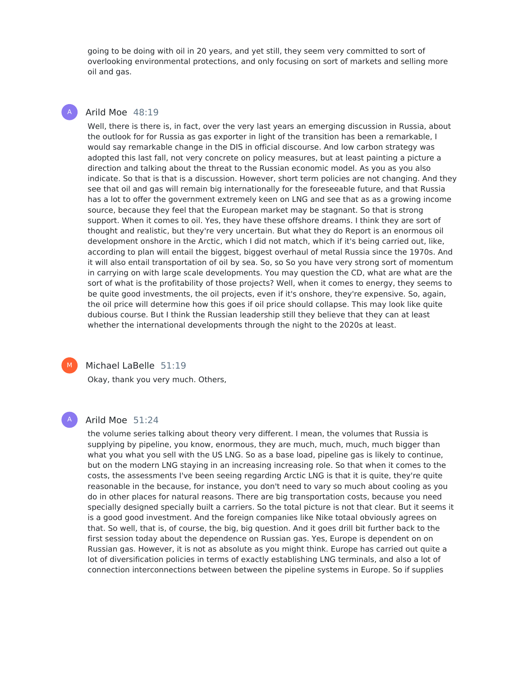going to be doing with oil in 20 years, and yet still, they seem very committed to sort of overlooking environmental protections, and only focusing on sort of markets and selling more oil and gas.

# Arild Moe 48:19

A

Well, there is there is, in fact, over the very last years an emerging discussion in Russia, about the outlook for for Russia as gas exporter in light of the transition has been a remarkable, I would say remarkable change in the DIS in official discourse. And low carbon strategy was adopted this last fall, not very concrete on policy measures, but at least painting a picture a direction and talking about the threat to the Russian economic model. As you as you also indicate. So that is that is a discussion. However, short term policies are not changing. And they see that oil and gas will remain big internationally for the foreseeable future, and that Russia has a lot to offer the government extremely keen on LNG and see that as as a growing income source, because they feel that the European market may be stagnant. So that is strong support. When it comes to oil. Yes, they have these offshore dreams. I think they are sort of thought and realistic, but they're very uncertain. But what they do Report is an enormous oil development onshore in the Arctic, which I did not match, which if it's being carried out, like, according to plan will entail the biggest, biggest overhaul of metal Russia since the 1970s. And it will also entail transportation of oil by sea. So, so So you have very strong sort of momentum in carrying on with large scale developments. You may question the CD, what are what are the sort of what is the profitability of those projects? Well, when it comes to energy, they seems to be quite good investments, the oil projects, even if it's onshore, they're expensive. So, again, the oil price will determine how this goes if oil price should collapse. This may look like quite dubious course. But I think the Russian leadership still they believe that they can at least whether the international developments through the night to the 2020s at least.



### Michael LaBelle 51:19

Okay, thank you very much. Others,

# A

# Arild Moe 51:24

the volume series talking about theory very different. I mean, the volumes that Russia is supplying by pipeline, you know, enormous, they are much, much, much, much bigger than what you what you sell with the US LNG. So as a base load, pipeline gas is likely to continue, but on the modern LNG staying in an increasing increasing role. So that when it comes to the costs, the assessments I've been seeing regarding Arctic LNG is that it is quite, they're quite reasonable in the because, for instance, you don't need to vary so much about cooling as you do in other places for natural reasons. There are big transportation costs, because you need specially designed specially built a carriers. So the total picture is not that clear. But it seems it is a good good investment. And the foreign companies like Nike totaal obviously agrees on that. So well, that is, of course, the big, big question. And it goes drill bit further back to the first session today about the dependence on Russian gas. Yes, Europe is dependent on on Russian gas. However, it is not as absolute as you might think. Europe has carried out quite a lot of diversification policies in terms of exactly establishing LNG terminals, and also a lot of connection interconnections between between the pipeline systems in Europe. So if supplies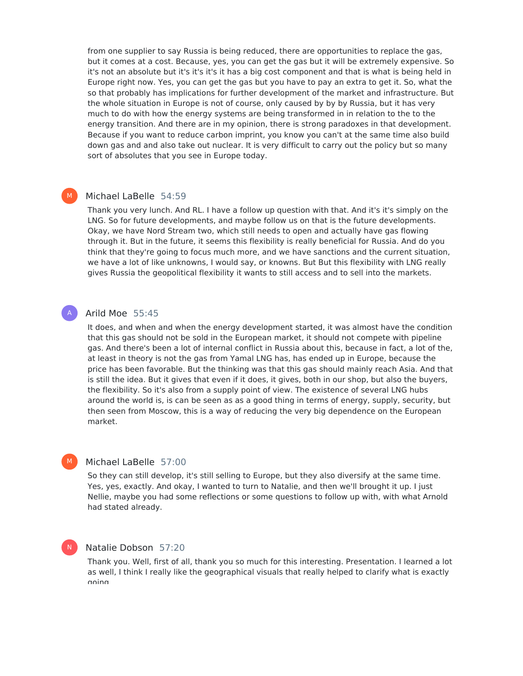from one supplier to say Russia is being reduced, there are opportunities to replace the gas, but it comes at a cost. Because, yes, you can get the gas but it will be extremely expensive. So it's not an absolute but it's it's it's it has a big cost component and that is what is being held in Europe right now. Yes, you can get the gas but you have to pay an extra to get it. So, what the so that probably has implications for further development of the market and infrastructure. But the whole situation in Europe is not of course, only caused by by by Russia, but it has very much to do with how the energy systems are being transformed in in relation to the to the energy transition. And there are in my opinion, there is strong paradoxes in that development. Because if you want to reduce carbon imprint, you know you can't at the same time also build down gas and and also take out nuclear. It is very difficult to carry out the policy but so many sort of absolutes that you see in Europe today.

# Michael LaBelle 54:59

 $M_{\odot}$ 

A

 $M<sub>1</sub>$ 

N

Thank you very lunch. And RL. I have a follow up question with that. And it's it's simply on the LNG. So for future developments, and maybe follow us on that is the future developments. Okay, we have Nord Stream two, which still needs to open and actually have gas flowing through it. But in the future, it seems this flexibility is really beneficial for Russia. And do you think that they're going to focus much more, and we have sanctions and the current situation, we have a lot of like unknowns, I would say, or knowns. But But this flexibility with LNG really gives Russia the geopolitical flexibility it wants to still access and to sell into the markets.

# Arild Moe 55:45

It does, and when and when the energy development started, it was almost have the condition that this gas should not be sold in the European market, it should not compete with pipeline gas. And there's been a lot of internal conflict in Russia about this, because in fact, a lot of the, at least in theory is not the gas from Yamal LNG has, has ended up in Europe, because the price has been favorable. But the thinking was that this gas should mainly reach Asia. And that is still the idea. But it gives that even if it does, it gives, both in our shop, but also the buyers, the flexibility. So it's also from a supply point of view. The existence of several LNG hubs around the world is, is can be seen as as a good thing in terms of energy, supply, security, but then seen from Moscow, this is a way of reducing the very big dependence on the European market.

# Michael LaBelle 57:00

So they can still develop, it's still selling to Europe, but they also diversify at the same time. Yes, yes, exactly. And okay, I wanted to turn to Natalie, and then we'll brought it up. I just Nellie, maybe you had some reflections or some questions to follow up with, with what Arnold had stated already.

# Natalie Dobson 57:20

Thank you. Well, first of all, thank you so much for this interesting. Presentation. I learned a lot as well, I think I really like the geographical visuals that really helped to clarify what is exactly nainn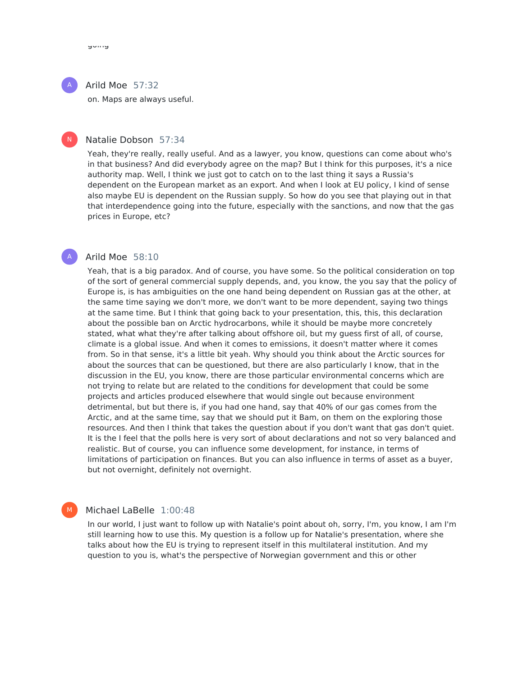#### Arild Moe 57:32 A

on. Maps are always useful.

# $\mathsf{N}^-$

# Natalie Dobson 57:34

Yeah, they're really, really useful. And as a lawyer, you know, questions can come about who's in that business? And did everybody agree on the map? But I think for this purposes, it's a nice authority map. Well, I think we just got to catch on to the last thing it says a Russia's dependent on the European market as an export. And when I look at EU policy, I kind of sense also maybe EU is dependent on the Russian supply. So how do you see that playing out in that that interdependence going into the future, especially with the sanctions, and now that the gas prices in Europe, etc?

# A

M

# Arild Moe 58:10

Yeah, that is a big paradox. And of course, you have some. So the political consideration on top of the sort of general commercial supply depends, and, you know, the you say that the policy of Europe is, is has ambiguities on the one hand being dependent on Russian gas at the other, at the same time saying we don't more, we don't want to be more dependent, saying two things at the same time. But I think that going back to your presentation, this, this, this declaration about the possible ban on Arctic hydrocarbons, while it should be maybe more concretely stated, what what they're after talking about offshore oil, but my guess first of all, of course, climate is a global issue. And when it comes to emissions, it doesn't matter where it comes from. So in that sense, it's a little bit yeah. Why should you think about the Arctic sources for about the sources that can be questioned, but there are also particularly I know, that in the discussion in the EU, you know, there are those particular environmental concerns which are not trying to relate but are related to the conditions for development that could be some projects and articles produced elsewhere that would single out because environment detrimental, but but there is, if you had one hand, say that 40% of our gas comes from the Arctic, and at the same time, say that we should put it Bam, on them on the exploring those resources. And then I think that takes the question about if you don't want that gas don't quiet. It is the I feel that the polls here is very sort of about declarations and not so very balanced and realistic. But of course, you can influence some development, for instance, in terms of limitations of participation on finances. But you can also influence in terms of asset as a buyer, but not overnight, definitely not overnight.

# Michael LaBelle 1:00:48

In our world, I just want to follow up with Natalie's point about oh, sorry, I'm, you know, I am I'm still learning how to use this. My question is a follow up for Natalie's presentation, where she talks about how the EU is trying to represent itself in this multilateral institution. And my question to you is, what's the perspective of Norwegian government and this or other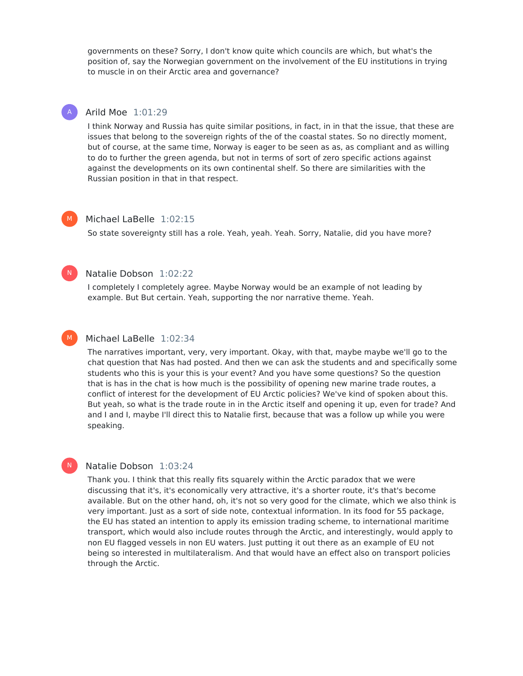governments on these? Sorry, I don't know quite which councils are which, but what's the position of, say the Norwegian government on the involvement of the EU institutions in trying to muscle in on their Arctic area and governance?

# Arild Moe 1:01:29

I think Norway and Russia has quite similar positions, in fact, in in that the issue, that these are issues that belong to the sovereign rights of the of the coastal states. So no directly moment, but of course, at the same time, Norway is eager to be seen as as, as compliant and as willing to do to further the green agenda, but not in terms of sort of zero specific actions against against the developments on its own continental shelf. So there are similarities with the Russian position in that in that respect.

# M

 $\mathsf{N}^-$ 

A

# Michael LaBelle 1:02:15

So state sovereignty still has a role. Yeah, yeah. Yeah. Sorry, Natalie, did you have more?

# Natalie Dobson 1:02:22

I completely I completely agree. Maybe Norway would be an example of not leading by example. But But certain. Yeah, supporting the nor narrative theme. Yeah.

# M

N

# Michael LaBelle 1:02:34

The narratives important, very, very important. Okay, with that, maybe maybe we'll go to the chat question that Nas had posted. And then we can ask the students and and specifically some students who this is your this is your event? And you have some questions? So the question that is has in the chat is how much is the possibility of opening new marine trade routes, a conflict of interest for the development of EU Arctic policies? We've kind of spoken about this. But yeah, so what is the trade route in in the Arctic itself and opening it up, even for trade? And and I and I, maybe I'll direct this to Natalie first, because that was a follow up while you were speaking.

# Natalie Dobson 1:03:24

Thank you. I think that this really fits squarely within the Arctic paradox that we were discussing that it's, it's economically very attractive, it's a shorter route, it's that's become available. But on the other hand, oh, it's not so very good for the climate, which we also think is very important. Just as a sort of side note, contextual information. In its food for 55 package, the EU has stated an intention to apply its emission trading scheme, to international maritime transport, which would also include routes through the Arctic, and interestingly, would apply to non EU flagged vessels in non EU waters. Just putting it out there as an example of EU not being so interested in multilateralism. And that would have an effect also on transport policies through the Arctic.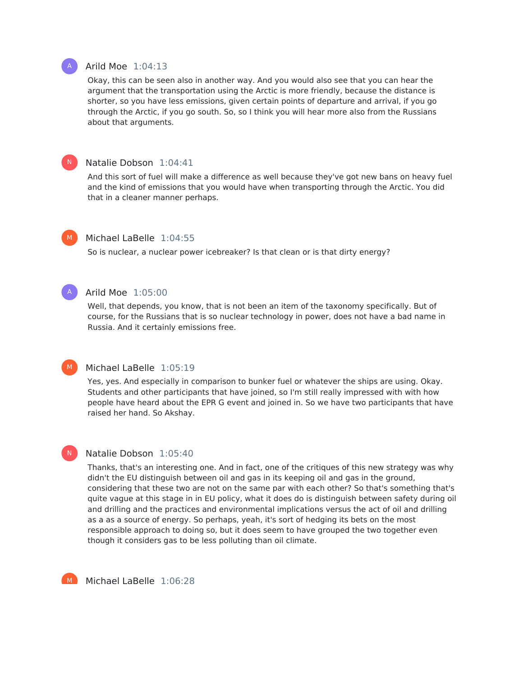# Arild Moe 1:04:13

Okay, this can be seen also in another way. And you would also see that you can hear the argument that the transportation using the Arctic is more friendly, because the distance is shorter, so you have less emissions, given certain points of departure and arrival, if you go through the Arctic, if you go south. So, so I think you will hear more also from the Russians about that arguments.

# Natalie Dobson 1:04:41

And this sort of fuel will make a difference as well because they've got new bans on heavy fuel and the kind of emissions that you would have when transporting through the Arctic. You did that in a cleaner manner perhaps.

# Michael LaBelle 1:04:55

So is nuclear, a nuclear power icebreaker? Is that clean or is that dirty energy?

### Arild Moe 1:05:00

Well, that depends, you know, that is not been an item of the taxonomy specifically. But of course, for the Russians that is so nuclear technology in power, does not have a bad name in Russia. And it certainly emissions free.

# Michael LaBelle 1:05:19

Yes, yes. And especially in comparison to bunker fuel or whatever the ships are using. Okay. Students and other participants that have joined, so I'm still really impressed with with how people have heard about the EPR G event and joined in. So we have two participants that have raised her hand. So Akshay.

# Natalie Dobson 1:05:40

Thanks, that's an interesting one. And in fact, one of the critiques of this new strategy was why didn't the EU distinguish between oil and gas in its keeping oil and gas in the ground, considering that these two are not on the same par with each other? So that's something that's quite vague at this stage in in EU policy, what it does do is distinguish between safety during oil and drilling and the practices and environmental implications versus the act of oil and drilling as a as a source of energy. So perhaps, yeah, it's sort of hedging its bets on the most responsible approach to doing so, but it does seem to have grouped the two together even though it considers gas to be less polluting than oil climate.



Michael LaBelle 1:06:28



 $\mathsf{N}^-$ 

M

A

M

 $\mathsf{N}^-$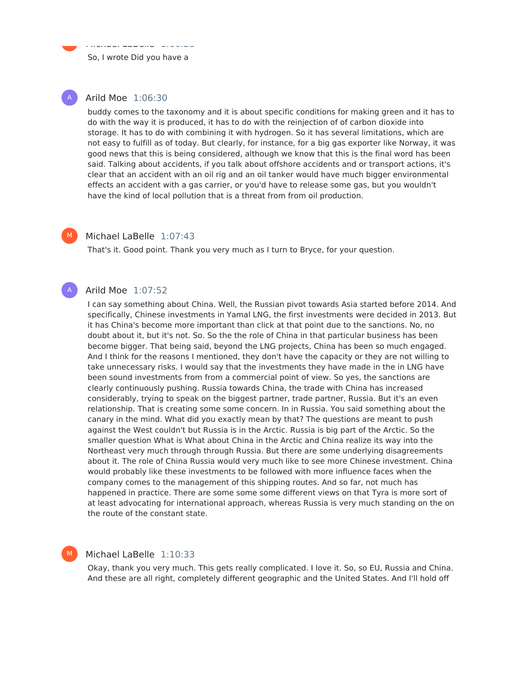So, I wrote Did you have a

Michael LaBelle 1:06:28

# Arild Moe 1:06:30

M

A

 $M<sub>1</sub>$ 

A

M

buddy comes to the taxonomy and it is about specific conditions for making green and it has to do with the way it is produced, it has to do with the reinjection of of carbon dioxide into storage. It has to do with combining it with hydrogen. So it has several limitations, which are not easy to fulfill as of today. But clearly, for instance, for a big gas exporter like Norway, it was good news that this is being considered, although we know that this is the final word has been said. Talking about accidents, if you talk about offshore accidents and or transport actions, it's clear that an accident with an oil rig and an oil tanker would have much bigger environmental effects an accident with a gas carrier, or you'd have to release some gas, but you wouldn't have the kind of local pollution that is a threat from from oil production.

# Michael LaBelle 1:07:43

That's it. Good point. Thank you very much as I turn to Bryce, for your question.

# Arild Moe 1:07:52

I can say something about China. Well, the Russian pivot towards Asia started before 2014. And specifically, Chinese investments in Yamal LNG, the first investments were decided in 2013. But it has China's become more important than click at that point due to the sanctions. No, no doubt about it, but it's not. So. So the the role of China in that particular business has been become bigger. That being said, beyond the LNG projects, China has been so much engaged. And I think for the reasons I mentioned, they don't have the capacity or they are not willing to take unnecessary risks. I would say that the investments they have made in the in LNG have been sound investments from from a commercial point of view. So yes, the sanctions are clearly continuously pushing. Russia towards China, the trade with China has increased considerably, trying to speak on the biggest partner, trade partner, Russia. But it's an even relationship. That is creating some some concern. In in Russia. You said something about the canary in the mind. What did you exactly mean by that? The questions are meant to push against the West couldn't but Russia is in the Arctic. Russia is big part of the Arctic. So the smaller question What is What about China in the Arctic and China realize its way into the Northeast very much through through Russia. But there are some underlying disagreements about it. The role of China Russia would very much like to see more Chinese investment. China would probably like these investments to be followed with more influence faces when the company comes to the management of this shipping routes. And so far, not much has happened in practice. There are some some some different views on that Tyra is more sort of at least advocating for international approach, whereas Russia is very much standing on the on the route of the constant state.

# Michael LaBelle 1:10:33

Okay, thank you very much. This gets really complicated. I love it. So, so EU, Russia and China. And these are all right, completely different geographic and the United States. And I'll hold off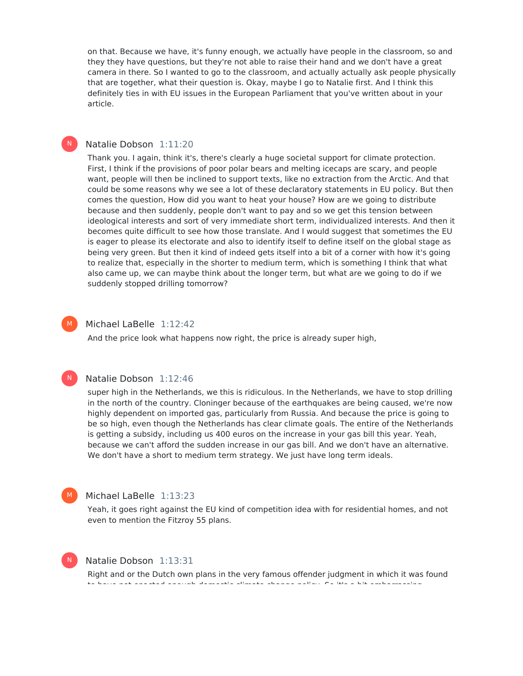on that. Because we have, it's funny enough, we actually have people in the classroom, so and they they have questions, but they're not able to raise their hand and we don't have a great camera in there. So I wanted to go to the classroom, and actually actually ask people physically that are together, what their question is. Okay, maybe I go to Natalie first. And I think this definitely ties in with EU issues in the European Parliament that you've written about in your article.

# Natalie Dobson 1:11:20

Thank you. I again, think it's, there's clearly a huge societal support for climate protection. First, I think if the provisions of poor polar bears and melting icecaps are scary, and people want, people will then be inclined to support texts, like no extraction from the Arctic. And that could be some reasons why we see a lot of these declaratory statements in EU policy. But then comes the question, How did you want to heat your house? How are we going to distribute because and then suddenly, people don't want to pay and so we get this tension between ideological interests and sort of very immediate short term, individualized interests. And then it becomes quite difficult to see how those translate. And I would suggest that sometimes the EU is eager to please its electorate and also to identify itself to define itself on the global stage as being very green. But then it kind of indeed gets itself into a bit of a corner with how it's going to realize that, especially in the shorter to medium term, which is something I think that what also came up, we can maybe think about the longer term, but what are we going to do if we suddenly stopped drilling tomorrow?



 $\mathsf{N}^-$ 

Michael LaBelle 1:12:42

And the price look what happens now right, the price is already super high,



#### Natalie Dobson 1:12:46

super high in the Netherlands, we this is ridiculous. In the Netherlands, we have to stop drilling in the north of the country. Cloninger because of the earthquakes are being caused, we're now highly dependent on imported gas, particularly from Russia. And because the price is going to be so high, even though the Netherlands has clear climate goals. The entire of the Netherlands is getting a subsidy, including us 400 euros on the increase in your gas bill this year. Yeah, because we can't afford the sudden increase in our gas bill. And we don't have an alternative. We don't have a short to medium term strategy. We just have long term ideals.

# Michael LaBelle 1:13:23

Yeah, it goes right against the EU kind of competition idea with for residential homes, and not even to mention the Fitzroy 55 plans.



# Natalie Dobson 1:13:31

Right and or the Dutch own plans in the very famous offender judgment in which it was found to have not enacted enough domestic climate change policy. So it's a bit embarrassing.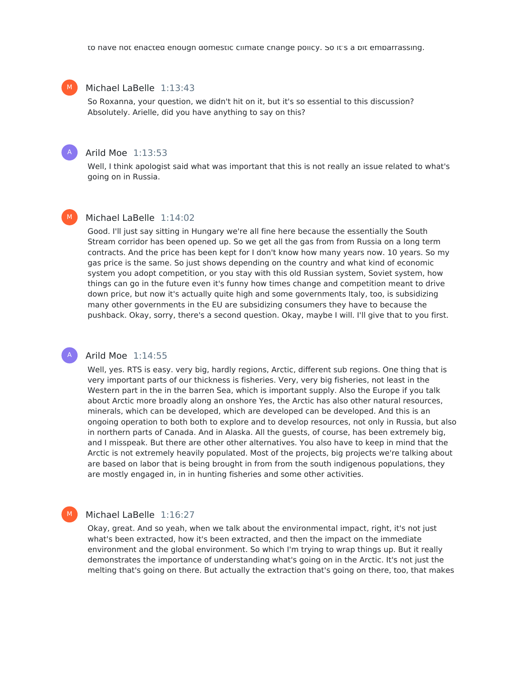### Michael LaBelle 1:13:43

So Roxanna, your question, we didn't hit on it, but it's so essential to this discussion? Absolutely. Arielle, did you have anything to say on this?

#### Arild Moe 1:13:53

Well, I think apologist said what was important that this is not really an issue related to what's going on in Russia.

# M

A

M

A

M

# Michael LaBelle 1:14:02

Good. I'll just say sitting in Hungary we're all fine here because the essentially the South Stream corridor has been opened up. So we get all the gas from from Russia on a long term contracts. And the price has been kept for I don't know how many years now. 10 years. So my gas price is the same. So just shows depending on the country and what kind of economic system you adopt competition, or you stay with this old Russian system, Soviet system, how things can go in the future even it's funny how times change and competition meant to drive down price, but now it's actually quite high and some governments Italy, too, is subsidizing many other governments in the EU are subsidizing consumers they have to because the pushback. Okay, sorry, there's a second question. Okay, maybe I will. I'll give that to you first.

# Arild Moe 1:14:55

Well, yes. RTS is easy. very big, hardly regions, Arctic, different sub regions. One thing that is very important parts of our thickness is fisheries. Very, very big fisheries, not least in the Western part in the in the barren Sea, which is important supply. Also the Europe if you talk about Arctic more broadly along an onshore Yes, the Arctic has also other natural resources, minerals, which can be developed, which are developed can be developed. And this is an ongoing operation to both both to explore and to develop resources, not only in Russia, but also in northern parts of Canada. And in Alaska. All the guests, of course, has been extremely big, and I misspeak. But there are other other alternatives. You also have to keep in mind that the Arctic is not extremely heavily populated. Most of the projects, big projects we're talking about are based on labor that is being brought in from from the south indigenous populations, they are mostly engaged in, in in hunting fisheries and some other activities.

# Michael LaBelle 1:16:27

Okay, great. And so yeah, when we talk about the environmental impact, right, it's not just what's been extracted, how it's been extracted, and then the impact on the immediate environment and the global environment. So which I'm trying to wrap things up. But it really demonstrates the importance of understanding what's going on in the Arctic. It's not just the melting that's going on there. But actually the extraction that's going on there, too, that makes